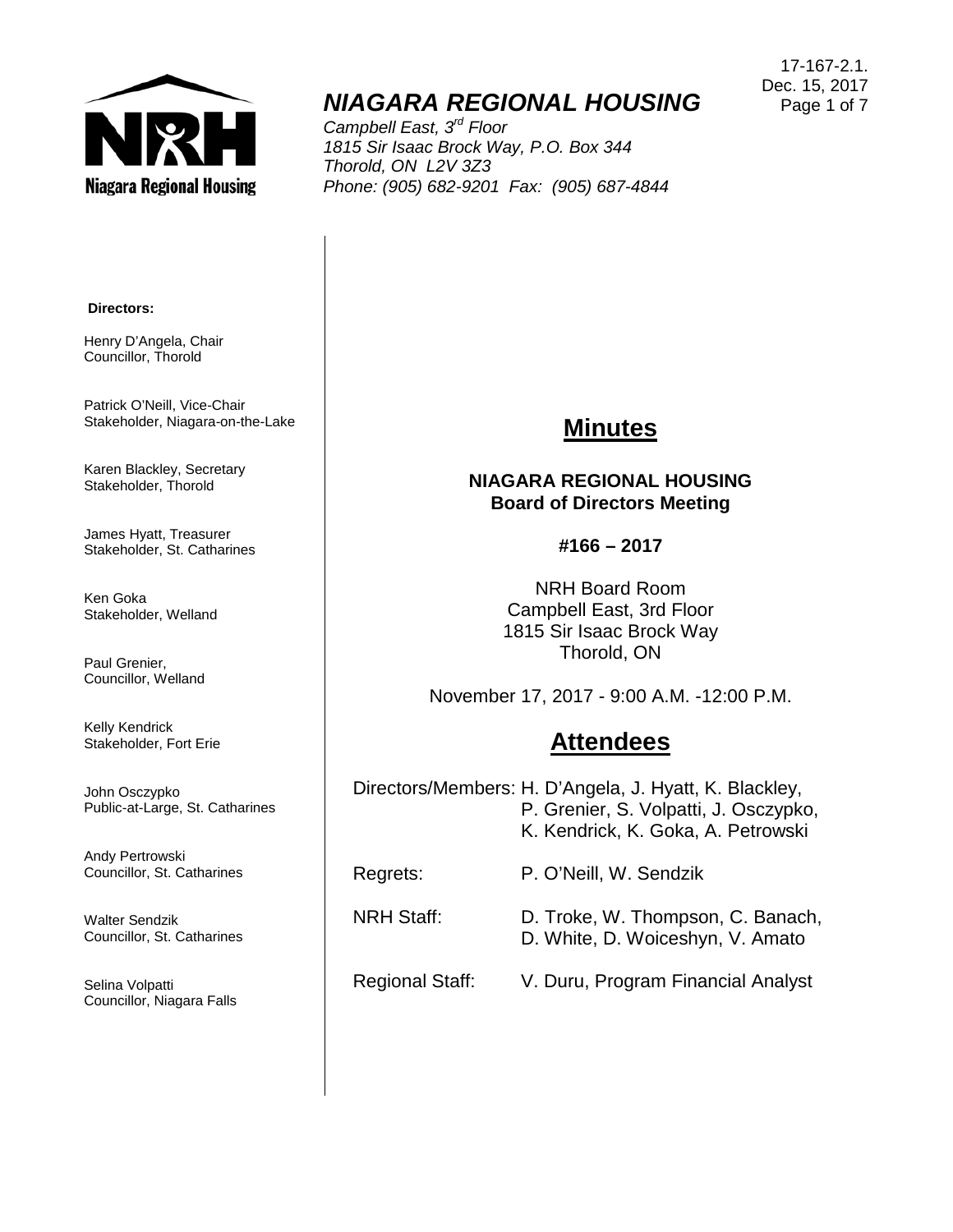

# *NIAGARA REGIONAL HOUSING*

*Campbell East, 3rd Floor 1815 Sir Isaac Brock Way, P.O. Box 344 Thorold, ON L2V 3Z3 Phone: (905) 682-9201 Fax: (905) 687-4844*

17-167-2.1. Dec. 15, 2017 Page 1 of 7

#### **Directors:**

Henry D'Angela, Chair Councillor, Thorold

Patrick O'Neill, Vice-Chair Stakeholder, Niagara-on-the-Lake

Karen Blackley, Secretary Stakeholder, Thorold

James Hyatt, Treasurer Stakeholder, St. Catharines

Ken Goka Stakeholder, Welland

Paul Grenier, Councillor, Welland

Kelly Kendrick Stakeholder, Fort Erie

John Osczypko Public-at-Large, St. Catharines

Andy Pertrowski Councillor, St. Catharines

Walter Sendzik Councillor, St. Catharines

Selina Volpatti Councillor, Niagara Falls

## **Minutes**

#### **NIAGARA REGIONAL HOUSING Board of Directors Meeting**

#### **#166 – 2017**

NRH Board Room Campbell East, 3rd Floor 1815 Sir Isaac Brock Way Thorold, ON

November 17, 2017 - 9:00 A.M. -12:00 P.M.

## **Attendees**

Directors/Members: H. D'Angela, J. Hyatt, K. Blackley, P. Grenier, S. Volpatti, J. Osczypko, K. Kendrick, K. Goka, A. Petrowski

Regrets: P. O'Neill, W. Sendzik

NRH Staff: D. Troke, W. Thompson, C. Banach, D. White, D. Woiceshyn, V. Amato

#### Regional Staff: V. Duru, Program Financial Analyst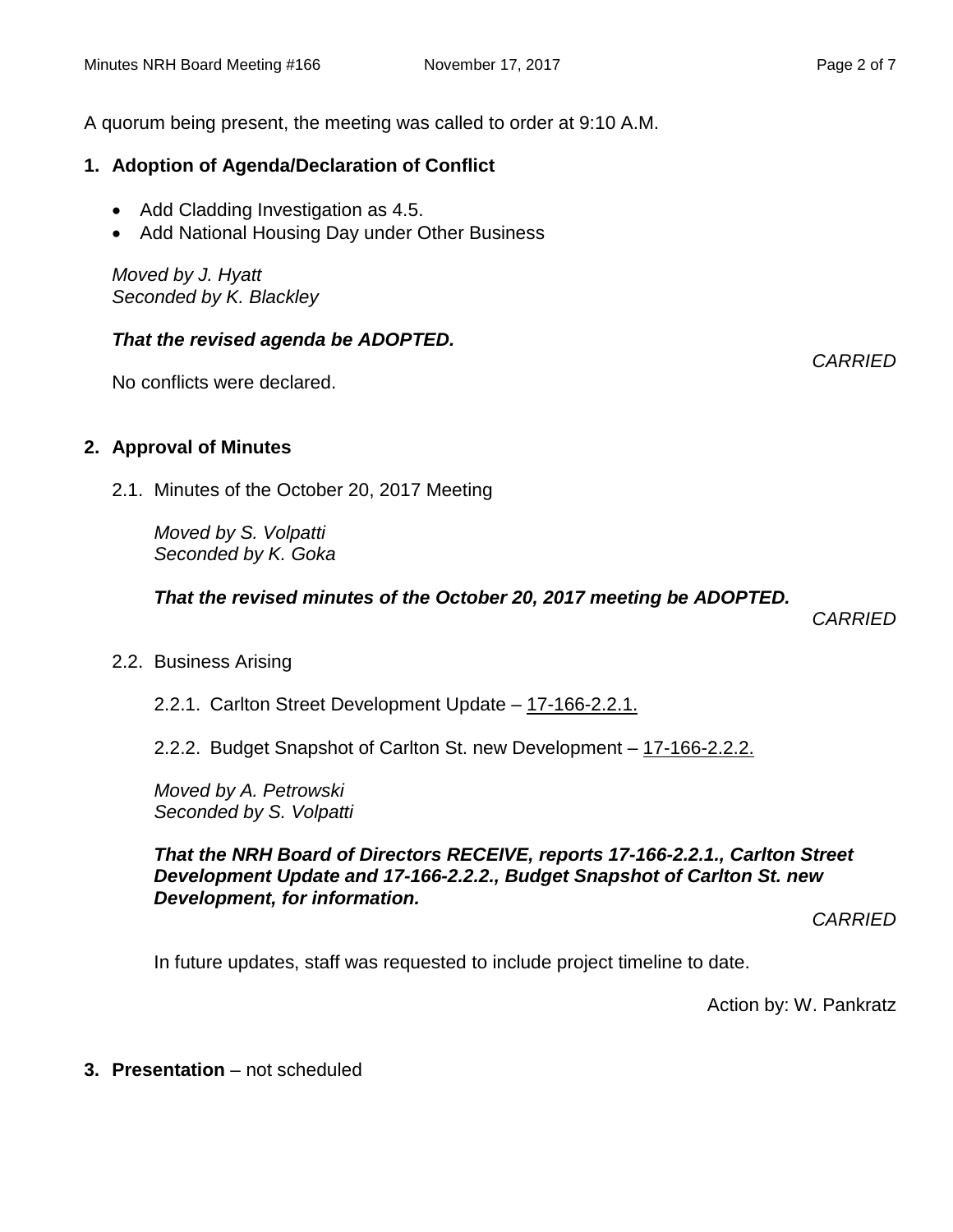### **1. Adoption of Agenda/Declaration of Conflict**

- Add Cladding Investigation as 4.5.
- Add National Housing Day under Other Business

*Moved by J. Hyatt Seconded by K. Blackley*

#### *That the revised agenda be ADOPTED.*

No conflicts were declared.

#### **2. Approval of Minutes**

2.1. Minutes of the October 20, 2017 Meeting

*Moved by S. Volpatti Seconded by K. Goka*

*That the revised minutes of the October 20, 2017 meeting be ADOPTED.* 

*CARRIED*

2.2. Business Arising

2.2.1. Carlton Street Development Update – 17-166-2.2.1.

2.2.2. Budget Snapshot of Carlton St. new Development – 17-166-2.2.2.

*Moved by A. Petrowski Seconded by S. Volpatti*

*That the NRH Board of Directors RECEIVE, reports 17-166-2.2.1., Carlton Street Development Update and 17-166-2.2.2., Budget Snapshot of Carlton St. new Development, for information.*

*CARRIED*

In future updates, staff was requested to include project timeline to date.

Action by: W. Pankratz

**3. Presentation** – not scheduled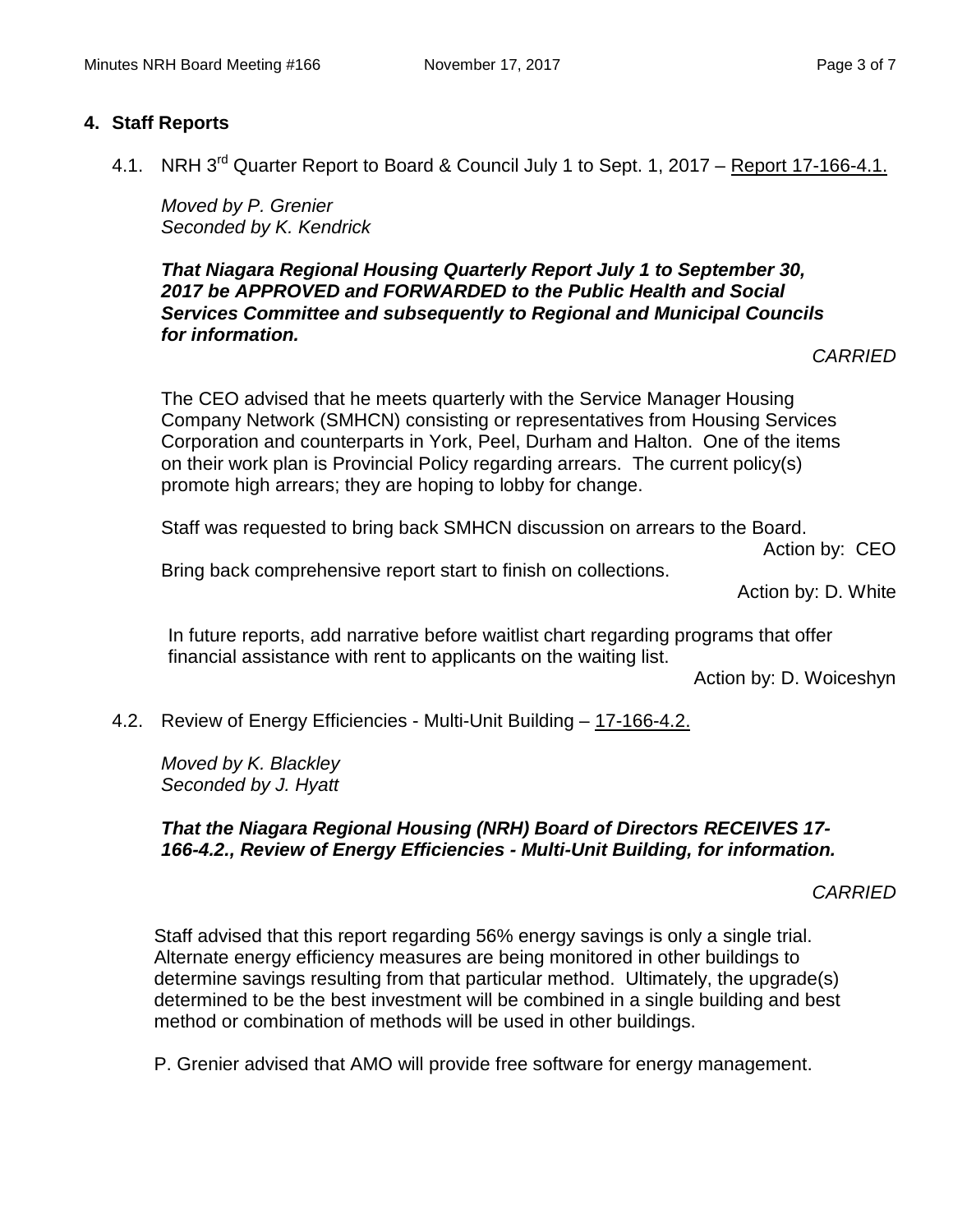#### **4. Staff Reports**

4.1. NRH 3<sup>rd</sup> Quarter Report to Board & Council July 1 to Sept. 1, 2017 – Report 17-166-4.1.

*Moved by P. Grenier Seconded by K. Kendrick*

*That Niagara Regional Housing Quarterly Report July 1 to September 30, 2017 be APPROVED and FORWARDED to the Public Health and Social Services Committee and subsequently to Regional and Municipal Councils for information.*

*CARRIED*

The CEO advised that he meets quarterly with the Service Manager Housing Company Network (SMHCN) consisting or representatives from Housing Services Corporation and counterparts in York, Peel, Durham and Halton. One of the items on their work plan is Provincial Policy regarding arrears. The current policy(s) promote high arrears; they are hoping to lobby for change.

Staff was requested to bring back SMHCN discussion on arrears to the Board.

Action by: CEO

Bring back comprehensive report start to finish on collections.

Action by: D. White

In future reports, add narrative before waitlist chart regarding programs that offer financial assistance with rent to applicants on the waiting list.

Action by: D. Woiceshyn

4.2. Review of Energy Efficiencies - Multi-Unit Building – 17-166-4.2.

*Moved by K. Blackley Seconded by J. Hyatt*

#### *That the Niagara Regional Housing (NRH) Board of Directors RECEIVES 17- 166-4.2., Review of Energy Efficiencies - Multi-Unit Building, for information.*

#### *CARRIED*

Staff advised that this report regarding 56% energy savings is only a single trial. Alternate energy efficiency measures are being monitored in other buildings to determine savings resulting from that particular method. Ultimately, the upgrade(s) determined to be the best investment will be combined in a single building and best method or combination of methods will be used in other buildings.

P. Grenier advised that AMO will provide free software for energy management.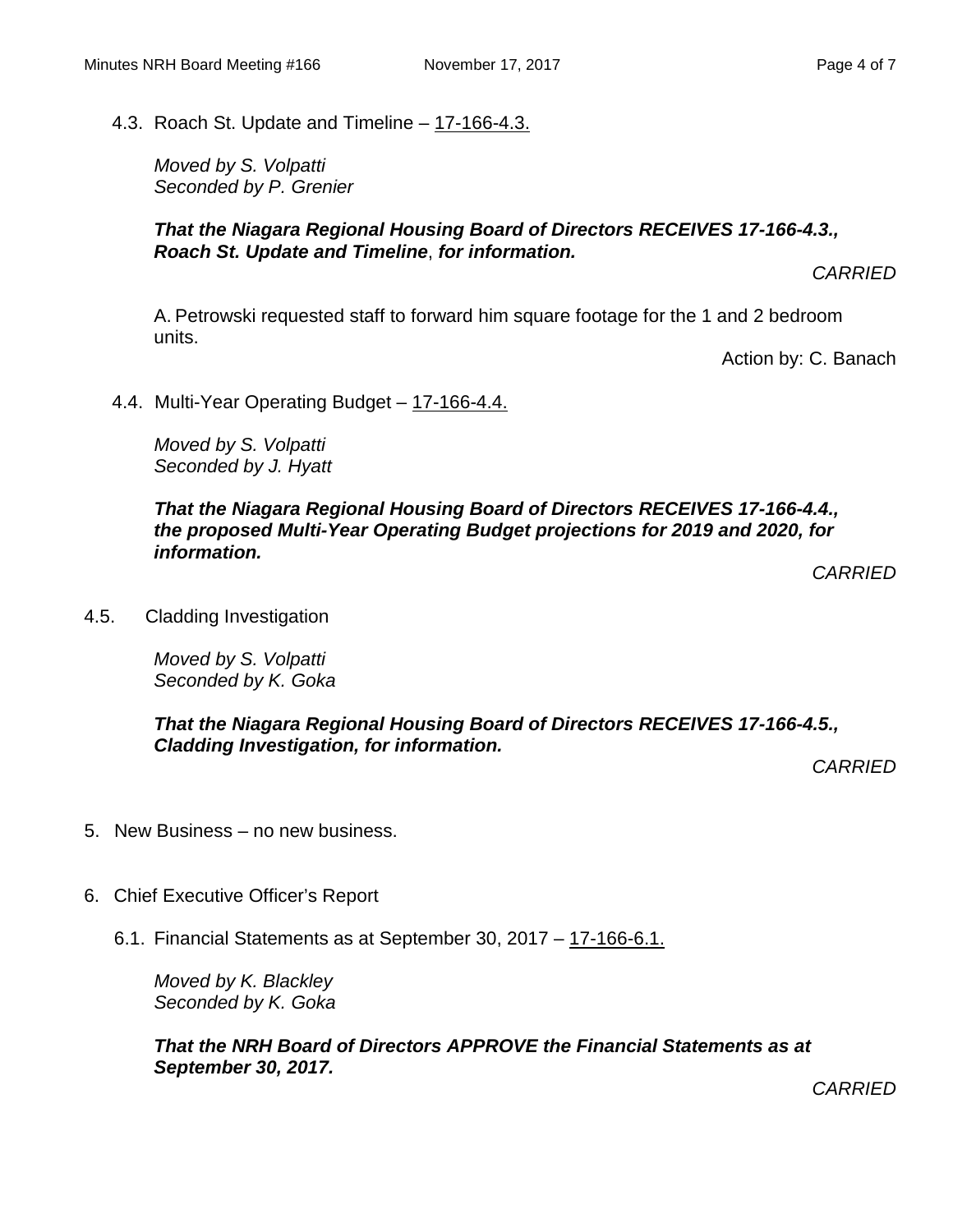4.3. Roach St. Update and Timeline – 17-166-4.3.

*Moved by S. Volpatti Seconded by P. Grenier*

#### *That the Niagara Regional Housing Board of Directors RECEIVES 17-166-4.3., Roach St. Update and Timeline*, *for information.*

*CARRIED*

A. Petrowski requested staff to forward him square footage for the 1 and 2 bedroom units.

Action by: C. Banach

4.4. Multi-Year Operating Budget – 17-166-4.4.

*Moved by S. Volpatti Seconded by J. Hyatt*

*That the Niagara Regional Housing Board of Directors RECEIVES 17-166-4.4., the proposed Multi-Year Operating Budget projections for 2019 and 2020, for information.*

*CARRIED*

4.5. Cladding Investigation

*Moved by S. Volpatti Seconded by K. Goka*

*That the Niagara Regional Housing Board of Directors RECEIVES 17-166-4.5., Cladding Investigation, for information.*

*CARRIED*

- 5. New Business no new business.
- 6. Chief Executive Officer's Report
	- 6.1. Financial Statements as at September 30, 2017 17-166-6.1.

*Moved by K. Blackley Seconded by K. Goka*

*That the NRH Board of Directors APPROVE the Financial Statements as at September 30, 2017.*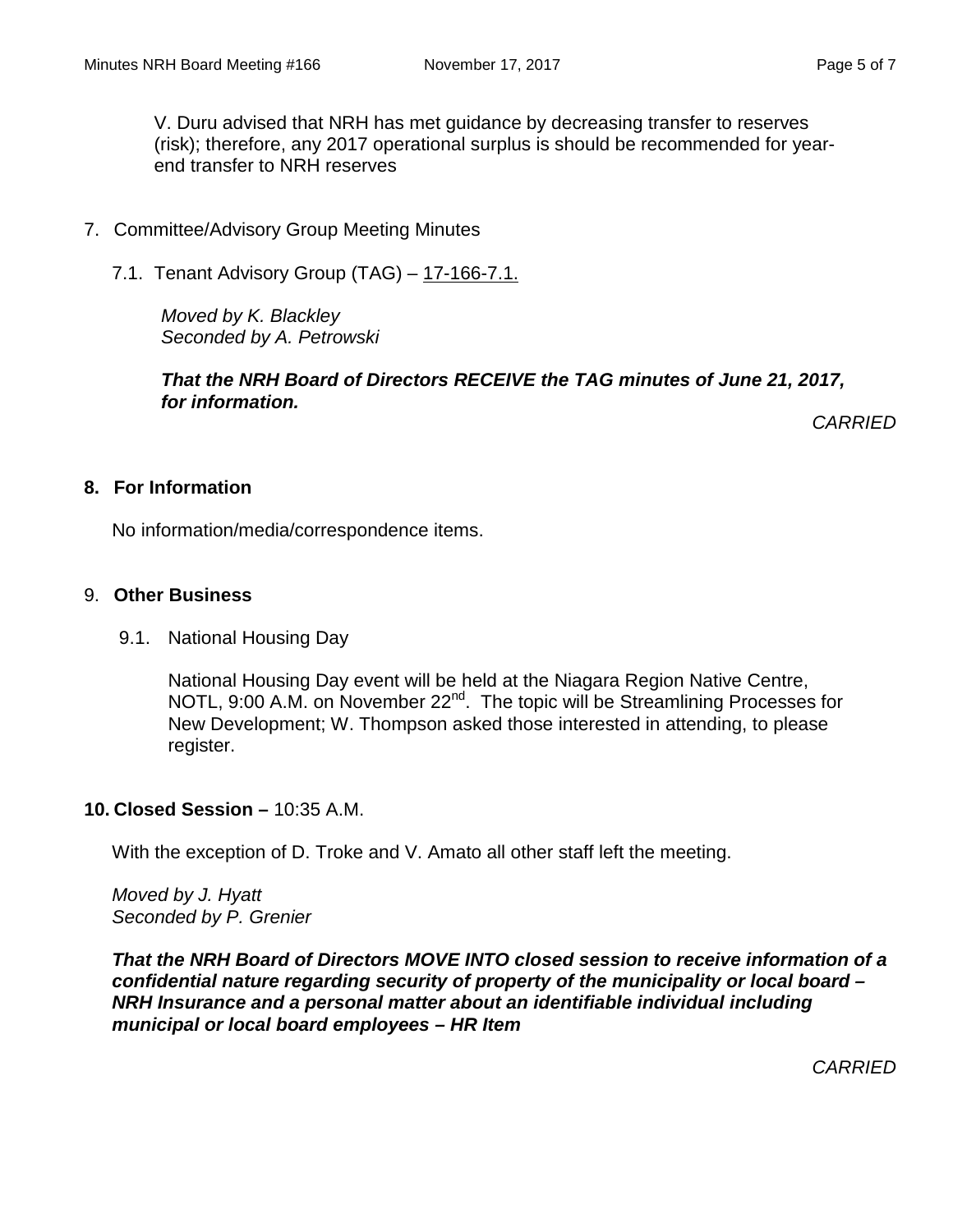V. Duru advised that NRH has met guidance by decreasing transfer to reserves (risk); therefore, any 2017 operational surplus is should be recommended for yearend transfer to NRH reserves

- 7. Committee/Advisory Group Meeting Minutes
	- 7.1. Tenant Advisory Group (TAG) 17-166-7.1.

*Moved by K. Blackley Seconded by A. Petrowski*

*That the NRH Board of Directors RECEIVE the TAG minutes of June 21, 2017, for information.*

*CARRIED*

#### **8. For Information**

No information/media/correspondence items.

#### 9. **Other Business**

9.1. National Housing Day

National Housing Day event will be held at the Niagara Region Native Centre, NOTL, 9:00 A.M. on November 22<sup>nd</sup>. The topic will be Streamlining Processes for New Development; W. Thompson asked those interested in attending, to please register.

#### **10. Closed Session –** 10:35 A.M.

With the exception of D. Troke and V. Amato all other staff left the meeting.

*Moved by J. Hyatt Seconded by P. Grenier*

*That the NRH Board of Directors MOVE INTO closed session to receive information of a confidential nature regarding security of property of the municipality or local board – NRH Insurance and a personal matter about an identifiable individual including municipal or local board employees – HR Item*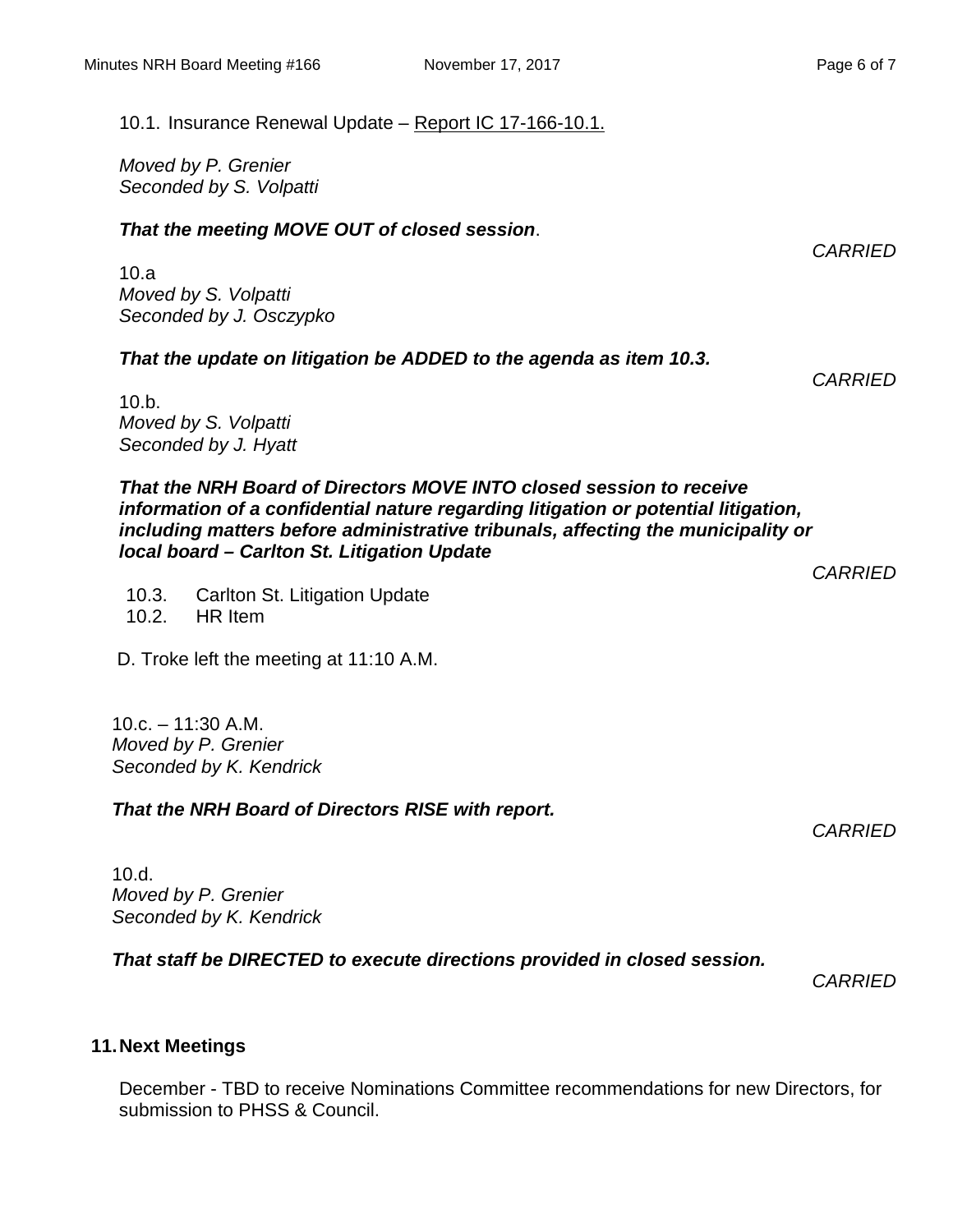*Moved by P. Grenier Seconded by S. Volpatti*

#### *That the meeting MOVE OUT of closed session*.

10.a *Moved by S. Volpatti Seconded by J. Osczypko*

#### *That the update on litigation be ADDED to the agenda as item 10.3.*

10.b. *Moved by S. Volpatti Seconded by J. Hyatt*

*That the NRH Board of Directors MOVE INTO closed session to receive information of a confidential nature regarding litigation or potential litigation, including matters before administrative tribunals, affecting the municipality or local board – Carlton St. Litigation Update*

10.3. Carlton St. Litigation Update 10.2. HR Item

D. Troke left the meeting at 11:10 A.M.

 $10.c. - 11:30 A.M.$ *Moved by P. Grenier Seconded by K. Kendrick*

#### *That the NRH Board of Directors RISE with report.*

10.d. *Moved by P. Grenier Seconded by K. Kendrick*

*That staff be DIRECTED to execute directions provided in closed session.*

*CARRIED*

### **11.Next Meetings**

December - TBD to receive Nominations Committee recommendations for new Directors, for submission to PHSS & Council.

*CARRIED*

*CARRIED*

*CARRIED*